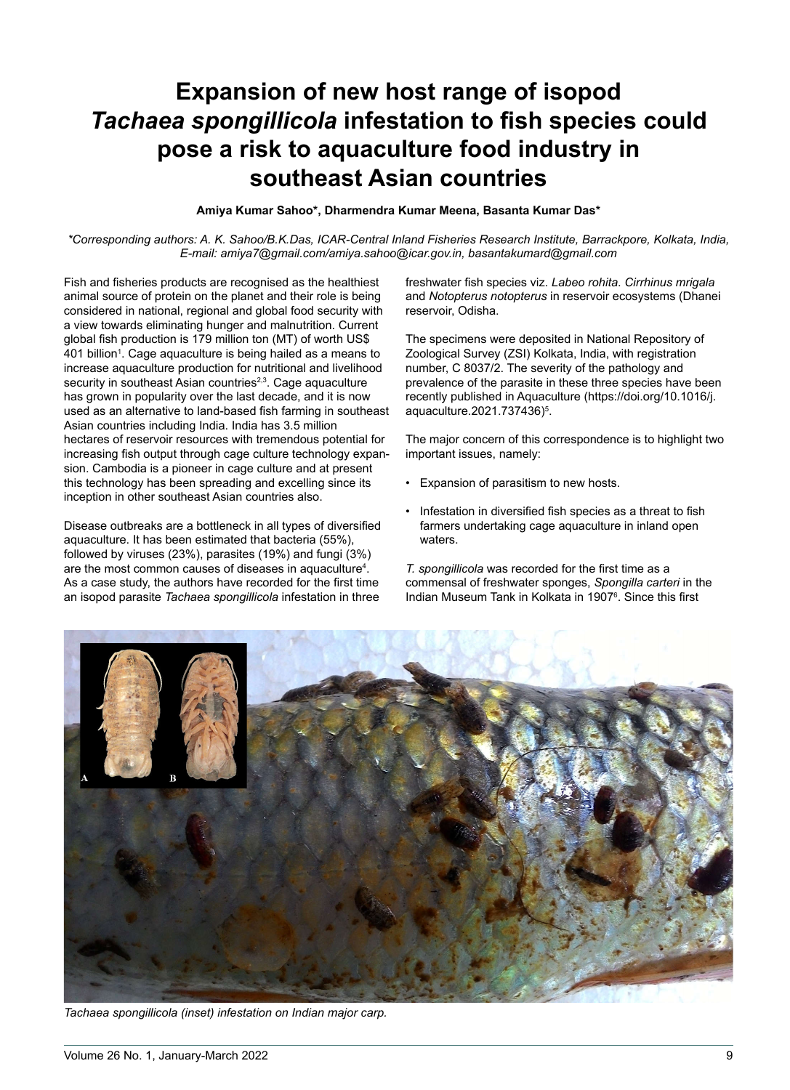# **Expansion of new host range of isopod Tachaea spongillicola infestation to fish species could pose a risk to aquaculture food industry insoutheast Asian countries**

#### **Amiya Kumar Sahoo\*, Dharmendra Kumar Meena, Basanta Kumar Das\***

*\*Corresponding authors: A. K. Sahoo/B.K.Das, ICAR-Central Inland Fisheries Research Institute, Barrackpore, Kolkata, India, E-mail: amiya7@gmail.com/amiya.sahoo@icar.gov.in, basantakumard@gmail.com*

Fish and fisheries products are recognised as the healthiest animal source of protein on the planet and their role is being considered in national, regional and global food security with a view towards eliminating hunger and malnutrition. Current global fish production is 179 million ton (MT) of worth US\$ 401 billion<sup>1</sup>. Cage aquaculture is being hailed as a means to increase aquaculture production for nutritional and livelihood security in southeast Asian countries<sup>2,3</sup>. Cage aquaculture has grown in popularity over the last decade, and it is now used as an alternative to land-based fish farming in southeast Asian countries including India. India has 3.5 million hectares of reservoir resources with tremendous potential for increasing fish output through cage culture technology expansion. Cambodia is a pioneer in cage culture and at present this technology has been spreading and excelling since its inception in other southeast Asian countries also.

Disease outbreaks are a bottleneck in all types of diversified aquaculture. It has been estimated that bacteria (55%), followed by viruses (23%), parasites (19%) and fungi (3%) are the most common causes of diseases in aquaculture<sup>4</sup>. are the most common caused or alcoasce in aquactiture :<br>As a case study, the authors have recorded for the first time an isopod parasite *Tachaea spongillicola* infestation in three

freshwater fish species viz. *Labeo rohita*. *Cirrhinus mrigala*  and *Notopterus notopterus* in reservoir ecosystems (Dhanei reservoir, Odisha.

The specimens were deposited in National Repository of Zoological Survey (ZSI) Kolkata, India, with registration number, C 8037/2. The severity of the pathology and prevalence of the parasite in these three species have been recently published in Aquaculture (https://doi.org/10.1016/j.aquaculture.2021.737436)<sup>5</sup>.

The major concern of this correspondence is to highlight two important issues, namely:

- Expansion of parasitism to new hosts.
- Infestation in diversified fish species as a threat to fish farmers undertaking cage aquaculture in inland open waters.

*T. spongillicola* was recorded for the first time as a commensal of freshwater sponges, *Spongilla carteri* in the Indian Museum Tank in Kolkata in 1907<sup>6</sup>. Since this first



*Tachaea spongillicola (inset) infestation on Indian major carp.*